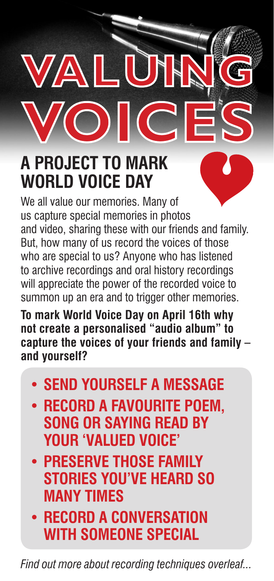## **A PROJECT TO MARK WORLD VOICE DAY**

A

We all value our memories. Many of us capture special memories in photos and video, sharing these with our friends and family. But, how many of us record the voices of those who are special to us? Anyone who has listened to archive recordings and oral history recordings will appreciate the power of the recorded voice to summon up an era and to trigger other memories.

**IL** 

**To mark World Voice Day on April 16th why not create a personalised "audio album" to capture the voices of your friends and family – and yourself?**

- **• SEND YOURSELF A MESSAGE**
- **• RECORD A FAVOURITE POEM, SONG OR SAYING READ BY YOUR 'VALUED VOICE'**
- **• PRESERVE THOSE FAMILY STORIES YOU'VE HEARD SO MANY TIMES**
- **• RECORD A CONVERSATION WITH SOMEONE SPECIAL**

*Find out more about recording techniques overleaf...*